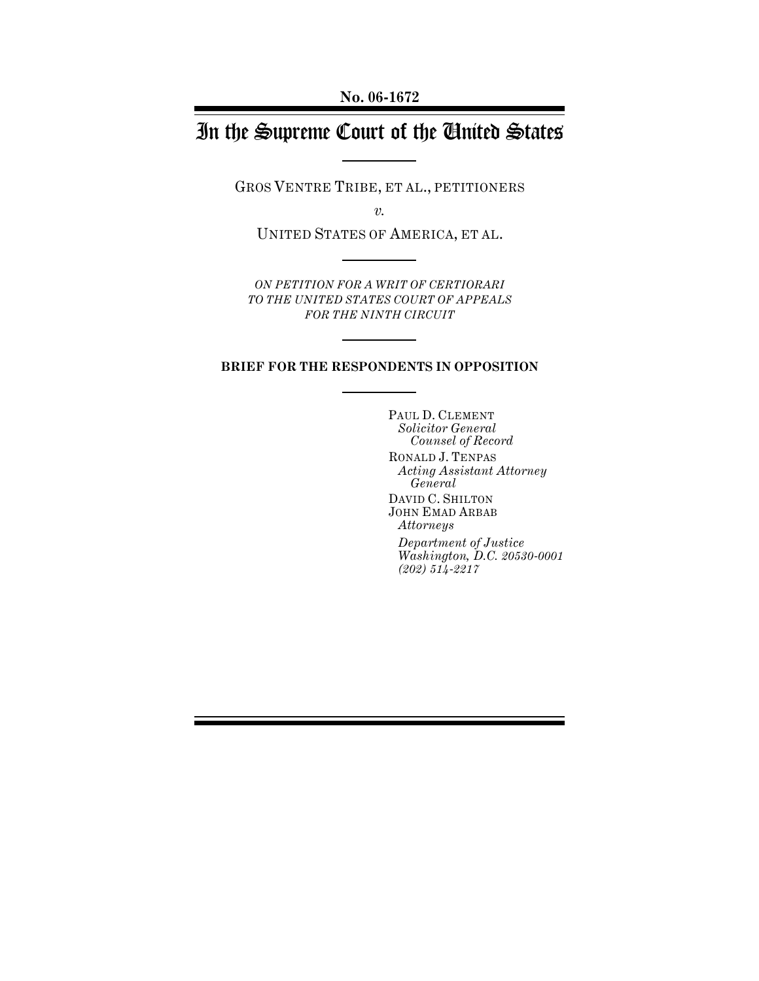# In the Supreme Court of the United States

GROS VENTRE TRIBE, ET AL., PETITIONERS

*v.*

UNITED STATES OF AMERICA, ET AL.

*ON PETITION FOR A WRIT OF CERTIORARI TO THE UNITED STATES COURT OF APPEALS FOR THE NINTH CIRCUIT*

#### **BRIEF FOR THE RESPONDENTS IN OPPOSITION**

PAUL D. CLEMENT *Solicitor General Counsel of Record* RONALD J. TENPAS *Acting Assistant Attorney General* DAVID C. SHILTON JOHN EMAD ARBAB *Attorneys Department of Justice Washington, D.C. 20530-0001 (202) 514-2217*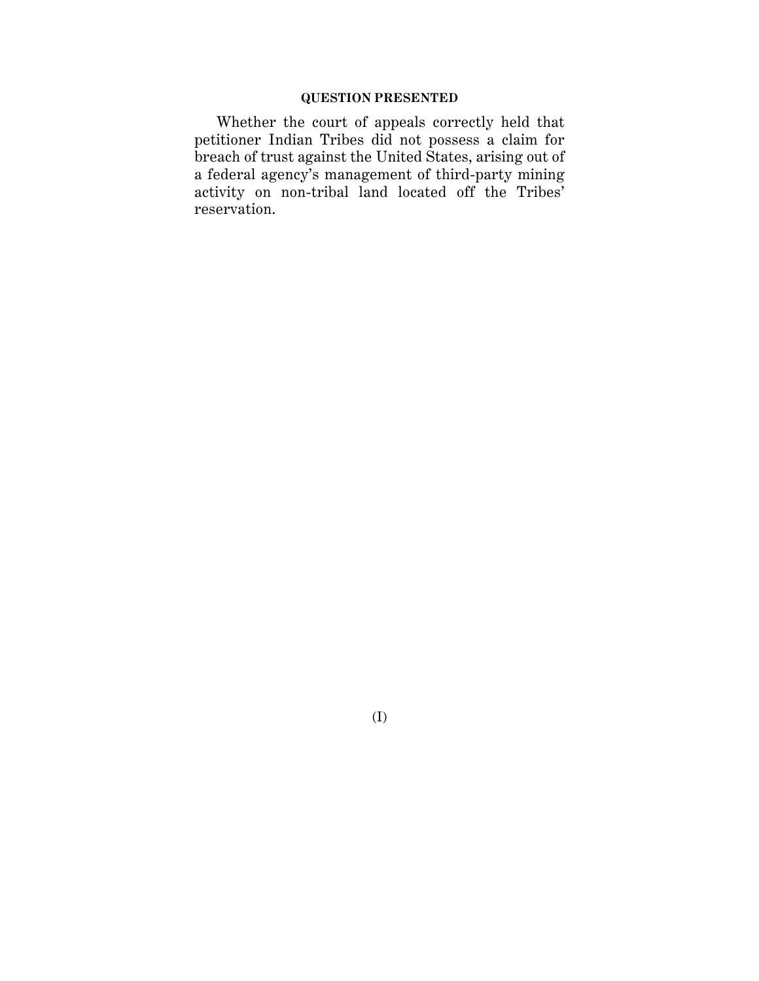## **QUESTION PRESENTED**

Whether the court of appeals correctly held that petitioner Indian Tribes did not possess a claim for breach of trust against the United States, arising out of a federal agency's management of third-party mining activity on non-tribal land located off the Tribes' reservation.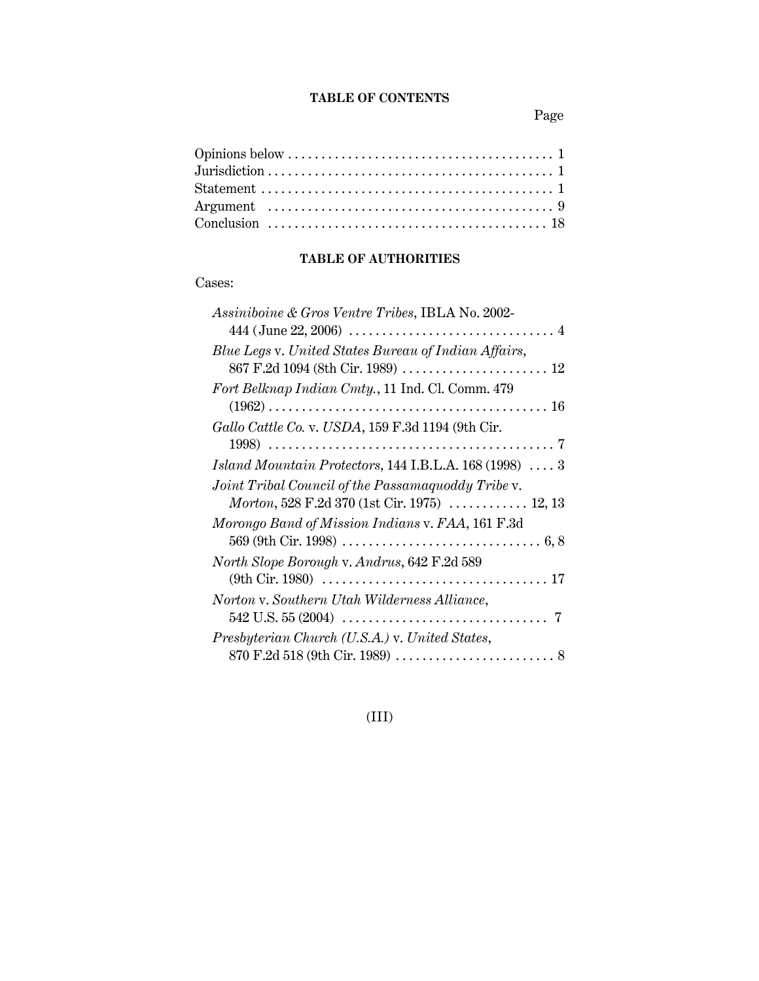## **TABLE OF CONTENTS**

Page

## **TABLE OF AUTHORITIES**

## Cases:

## (III)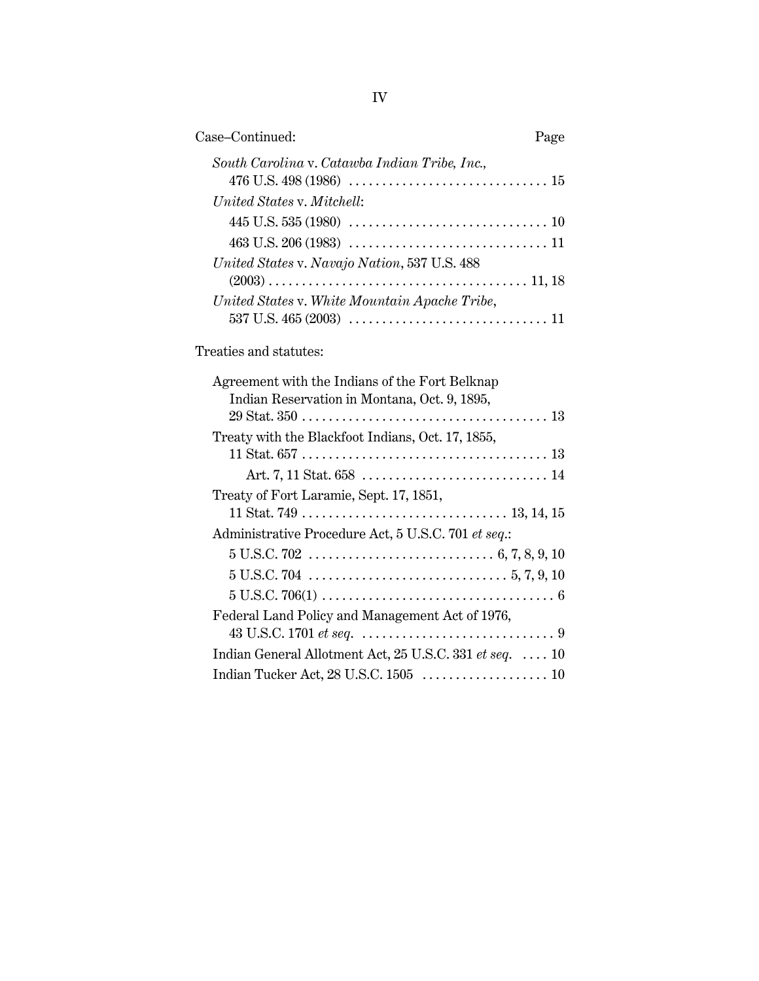| Case-Continued:                               | Page |
|-----------------------------------------------|------|
| South Carolina v. Catawba Indian Tribe, Inc., |      |
| United States v. Mitchell:                    |      |
|                                               |      |
|                                               |      |
| United States v. Navajo Nation, 537 U.S. 488  |      |
| United States v. White Mountain Apache Tribe, |      |

Treaties and statutes:

| Agreement with the Indians of the Fort Belknap                                                                 |
|----------------------------------------------------------------------------------------------------------------|
| Indian Reservation in Montana, Oct. 9, 1895,                                                                   |
| $29 \text{ Stat. } 350 \ldots \ldots \ldots \ldots \ldots \ldots \ldots \ldots \ldots \ldots \ldots \ldots 13$ |
| Treaty with the Blackfoot Indians, Oct. 17, 1855,                                                              |
|                                                                                                                |
|                                                                                                                |
| Treaty of Fort Laramie, Sept. 17, 1851,                                                                        |
|                                                                                                                |
| Administrative Procedure Act, 5 U.S.C. 701 et seq.:                                                            |
|                                                                                                                |
|                                                                                                                |
|                                                                                                                |
| Federal Land Policy and Management Act of 1976,                                                                |
|                                                                                                                |
| Indian General Allotment Act, 25 U.S.C. 331 et seq. $\dots$ 10                                                 |
|                                                                                                                |
|                                                                                                                |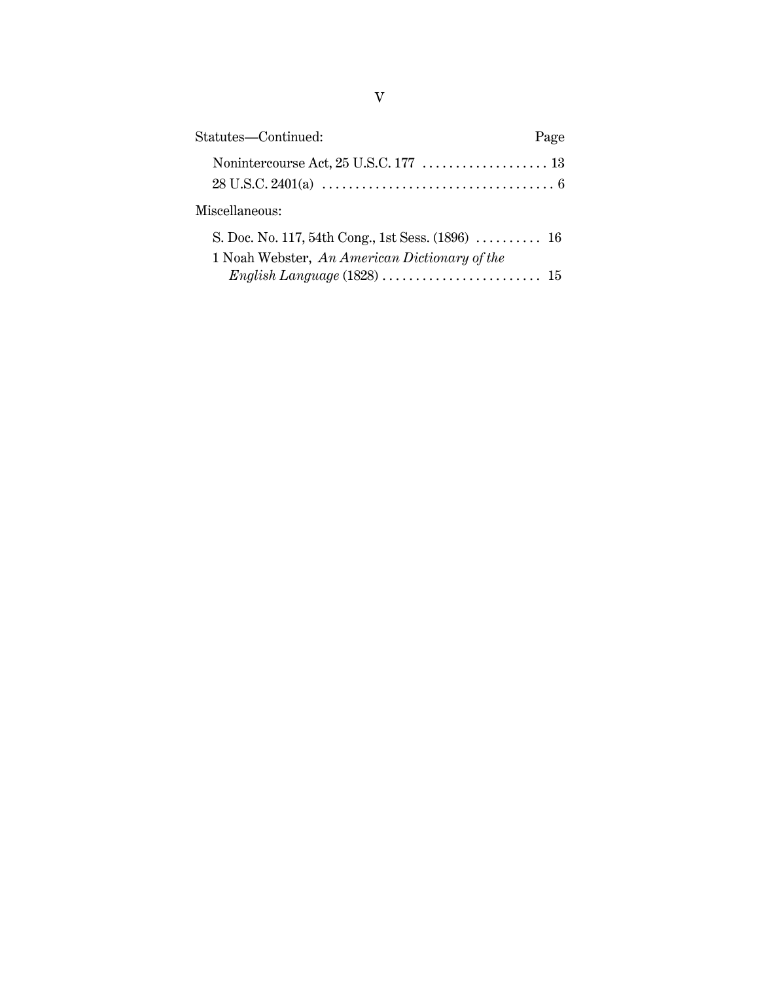| Statutes-Continued:                                                                                 | Page |
|-----------------------------------------------------------------------------------------------------|------|
|                                                                                                     |      |
| Miscellaneous:                                                                                      |      |
| S. Doc. No. 117, 54th Cong., 1st Sess. $(1896)$ 16<br>1 Noah Webster, An American Dictionary of the |      |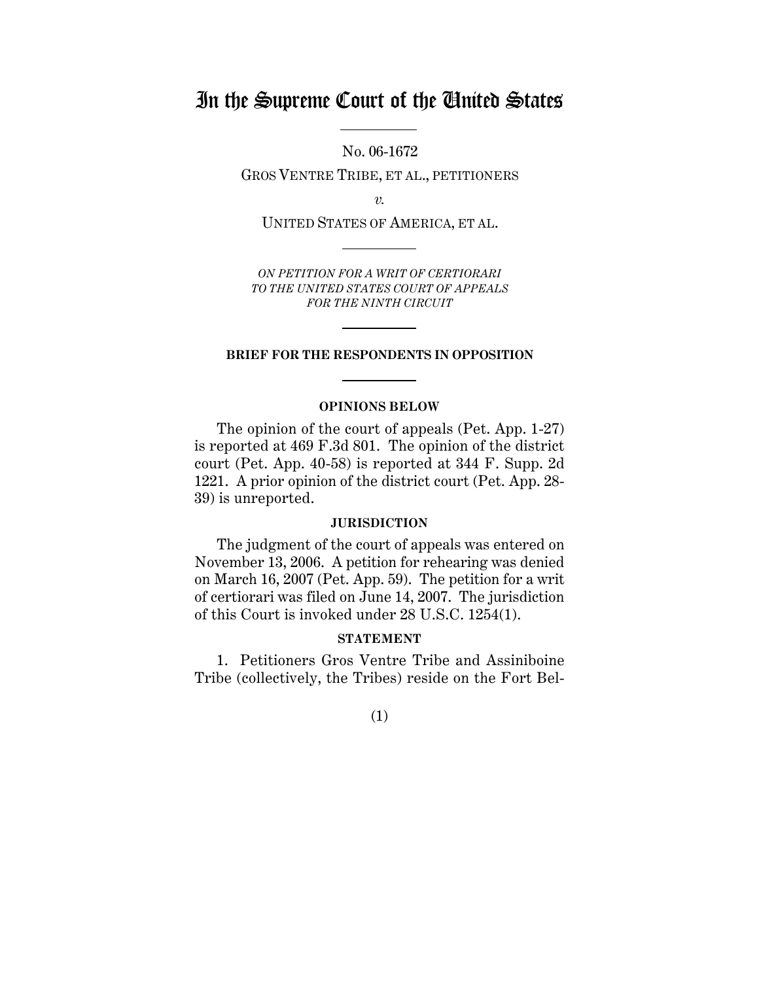## In the Supreme Court of the United States

No. 06-1672

GROS VENTRE TRIBE, ET AL., PETITIONERS

*v.*

UNITED STATES OF AMERICA, ET AL.

*ON PETITION FOR A WRIT OF CERTIORARI TO THE UNITED STATES COURT OF APPEALS FOR THE NINTH CIRCUIT*

#### **BRIEF FOR THE RESPONDENTS IN OPPOSITION**

#### **OPINIONS BELOW**

The opinion of the court of appeals (Pet. App. 1-27) is reported at 469 F.3d 801. The opinion of the district court (Pet. App. 40-58) is reported at 344 F. Supp. 2d 1221. A prior opinion of the district court (Pet. App. 28- 39) is unreported.

#### **JURISDICTION**

The judgment of the court of appeals was entered on November 13, 2006. A petition for rehearing was denied on March 16, 2007 (Pet. App. 59). The petition for a writ of certiorari was filed on June 14, 2007. The jurisdiction of this Court is invoked under 28 U.S.C. 1254(1).

#### **STATEMENT**

1. Petitioners Gros Ventre Tribe and Assiniboine Tribe (collectively, the Tribes) reside on the Fort Bel-

(1)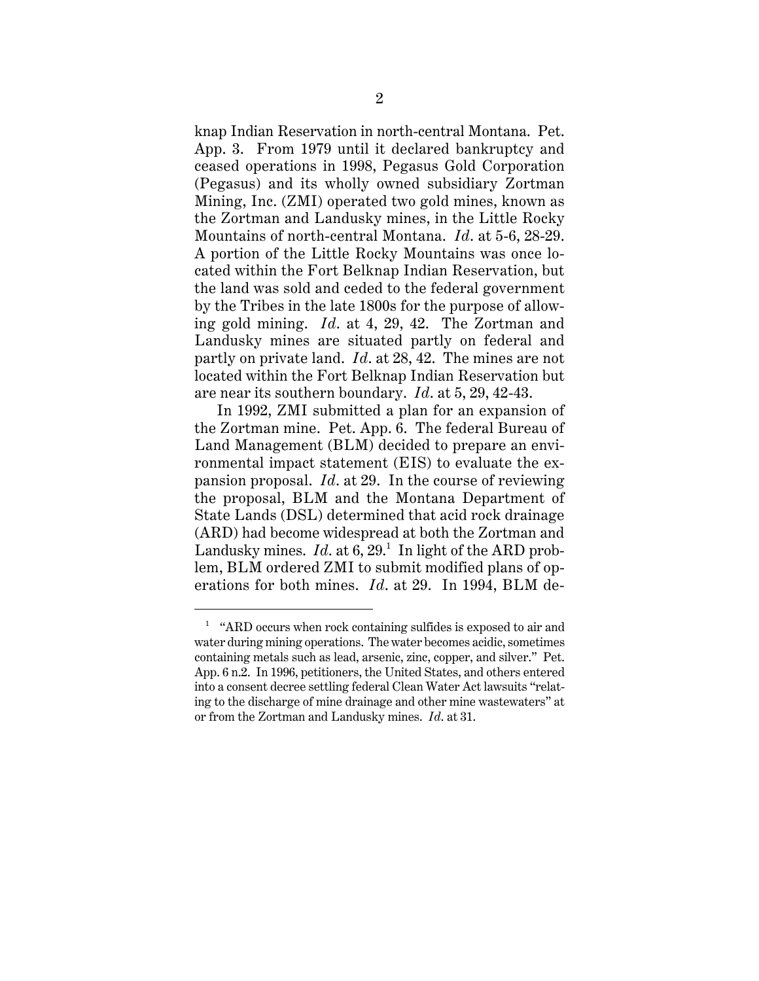knap Indian Reservation in north-central Montana. Pet. App. 3. From 1979 until it declared bankruptcy and ceased operations in 1998, Pegasus Gold Corporation (Pegasus) and its wholly owned subsidiary Zortman Mining, Inc. (ZMI) operated two gold mines, known as the Zortman and Landusky mines, in the Little Rocky Mountains of north-central Montana. *Id*. at 5-6, 28-29. A portion of the Little Rocky Mountains was once located within the Fort Belknap Indian Reservation, but the land was sold and ceded to the federal government by the Tribes in the late 1800s for the purpose of allowing gold mining. *Id*. at 4, 29, 42. The Zortman and Landusky mines are situated partly on federal and partly on private land. *Id*. at 28, 42. The mines are not located within the Fort Belknap Indian Reservation but are near its southern boundary. *Id*. at 5, 29, 42-43.

In 1992, ZMI submitted a plan for an expansion of the Zortman mine. Pet. App. 6. The federal Bureau of Land Management (BLM) decided to prepare an environmental impact statement (EIS) to evaluate the expansion proposal. *Id*. at 29. In the course of reviewing the proposal, BLM and the Montana Department of State Lands (DSL) determined that acid rock drainage (ARD) had become widespread at both the Zortman and Landusky mines.  $Id.$  at  $6, 29.1$  In light of the ARD problem, BLM ordered ZMI to submit modified plans of operations for both mines. *Id*. at 29. In 1994, BLM de-

<sup>&</sup>lt;sup>1</sup> "ARD occurs when rock containing sulfides is exposed to air and water during mining operations. The water becomes acidic, sometimes containing metals such as lead, arsenic, zinc, copper, and silver." Pet. App. 6 n.2. In 1996, petitioners, the United States, and others entered into a consent decree settling federal Clean Water Act lawsuits "relating to the discharge of mine drainage and other mine wastewaters" at or from the Zortman and Landusky mines. *Id*. at 31.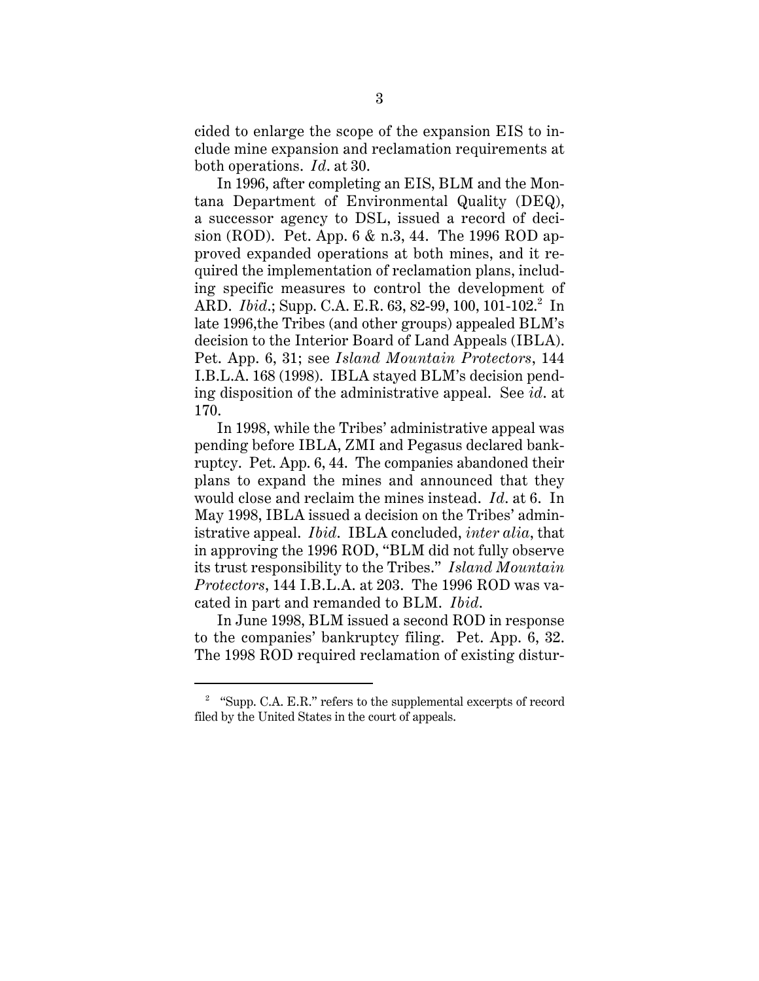cided to enlarge the scope of the expansion EIS to include mine expansion and reclamation requirements at both operations. *Id*. at 30.

In 1996, after completing an EIS, BLM and the Montana Department of Environmental Quality (DEQ), a successor agency to DSL, issued a record of decision (ROD). Pet. App. 6 & n.3, 44. The 1996 ROD approved expanded operations at both mines, and it required the implementation of reclamation plans, including specific measures to control the development of ARD. *Ibid.*; Supp. C.A. E.R. 63, 82-99, 100, 101-102.<sup>2</sup> In late 1996,the Tribes (and other groups) appealed BLM's decision to the Interior Board of Land Appeals (IBLA). Pet. App. 6, 31; see *Island Mountain Protectors*, 144 I.B.L.A. 168 (1998). IBLA stayed BLM's decision pending disposition of the administrative appeal. See *id*. at 170.

In 1998, while the Tribes' administrative appeal was pending before IBLA, ZMI and Pegasus declared bankruptcy. Pet. App. 6, 44. The companies abandoned their plans to expand the mines and announced that they would close and reclaim the mines instead. *Id*. at 6. In May 1998, IBLA issued a decision on the Tribes' administrative appeal. *Ibid*. IBLA concluded, *inter alia*, that in approving the 1996 ROD, "BLM did not fully observe its trust responsibility to the Tribes." *Island Mountain Protectors*, 144 I.B.L.A. at 203. The 1996 ROD was vacated in part and remanded to BLM. *Ibid*.

In June 1998, BLM issued a second ROD in response to the companies' bankruptcy filing. Pet. App. 6, 32. The 1998 ROD required reclamation of existing distur-

 $2$  "Supp. C.A. E.R." refers to the supplemental excerpts of record filed by the United States in the court of appeals.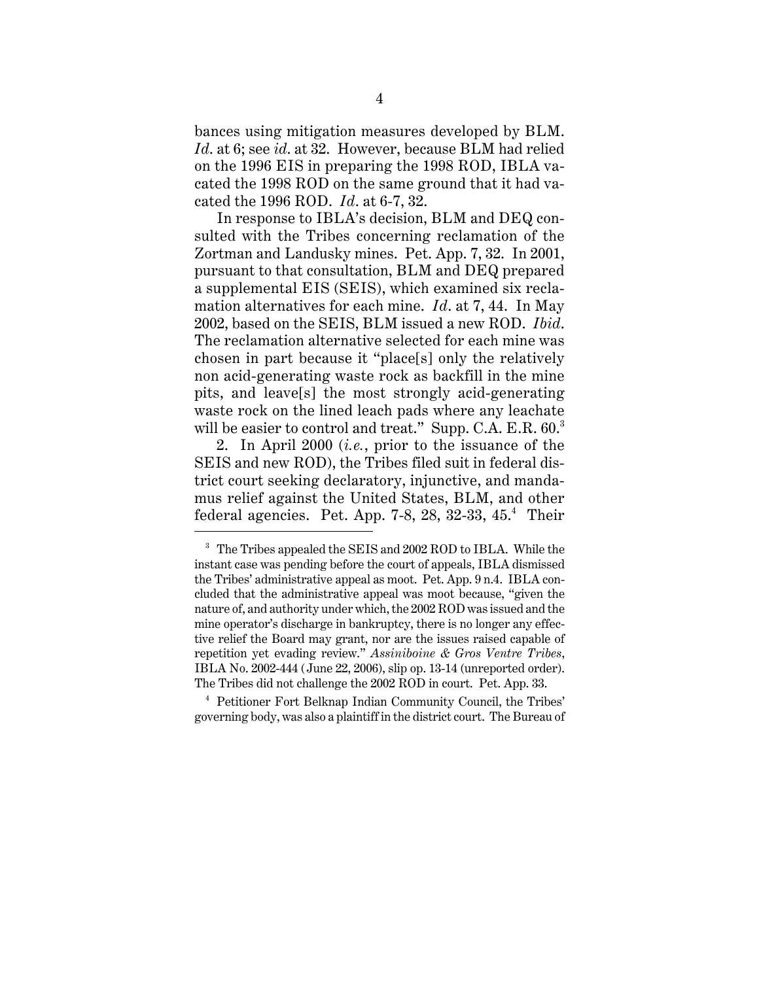bances using mitigation measures developed by BLM. *Id*. at 6; see *id*. at 32. However, because BLM had relied on the 1996 EIS in preparing the 1998 ROD, IBLA vacated the 1998 ROD on the same ground that it had vacated the 1996 ROD. *Id*. at 6-7, 32.

In response to IBLA's decision, BLM and DEQ consulted with the Tribes concerning reclamation of the Zortman and Landusky mines. Pet. App. 7, 32. In 2001, pursuant to that consultation, BLM and DEQ prepared a supplemental EIS (SEIS), which examined six reclamation alternatives for each mine. *Id*. at 7, 44. In May 2002, based on the SEIS, BLM issued a new ROD. *Ibid*. The reclamation alternative selected for each mine was chosen in part because it "place[s] only the relatively non acid-generating waste rock as backfill in the mine pits, and leave[s] the most strongly acid-generating waste rock on the lined leach pads where any leachate will be easier to control and treat." Supp. C.A. E.R. 60.<sup>3</sup>

2. In April 2000 (*i.e.*, prior to the issuance of the SEIS and new ROD), the Tribes filed suit in federal district court seeking declaratory, injunctive, and mandamus relief against the United States, BLM, and other federal agencies. Pet. App. 7-8, 28, 32-33, 45.<sup>4</sup> Their

<sup>3</sup> The Tribes appealed the SEIS and 2002 ROD to IBLA. While the instant case was pending before the court of appeals, IBLA dismissed the Tribes' administrative appeal as moot. Pet. App. 9 n.4. IBLA concluded that the administrative appeal was moot because, "given the nature of, and authority under which, the 2002 ROD was issued and the mine operator's discharge in bankruptcy, there is no longer any effective relief the Board may grant, nor are the issues raised capable of repetition yet evading review." *Assiniboine & Gros Ventre Tribes*, IBLA No. 2002-444 (June 22, 2006), slip op. 13-14 (unreported order). The Tribes did not challenge the 2002 ROD in court. Pet. App. 33.

<sup>4</sup> Petitioner Fort Belknap Indian Community Council, the Tribes' governing body, was also a plaintiff in the district court. The Bureau of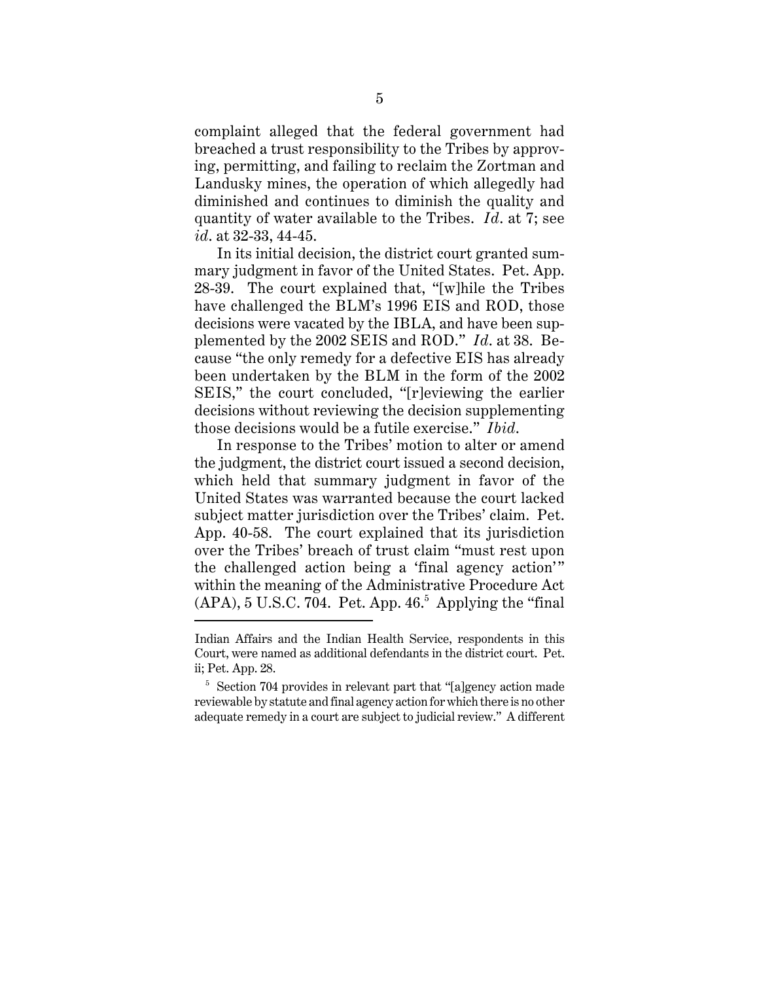complaint alleged that the federal government had breached a trust responsibility to the Tribes by approving, permitting, and failing to reclaim the Zortman and Landusky mines, the operation of which allegedly had diminished and continues to diminish the quality and quantity of water available to the Tribes. *Id*. at 7; see *id*. at 32-33, 44-45.

In its initial decision, the district court granted summary judgment in favor of the United States. Pet. App. 28-39. The court explained that, "[w]hile the Tribes have challenged the BLM's 1996 EIS and ROD, those decisions were vacated by the IBLA, and have been supplemented by the 2002 SEIS and ROD." *Id*. at 38. Because "the only remedy for a defective EIS has already been undertaken by the BLM in the form of the 2002 SEIS," the court concluded, "[r]eviewing the earlier decisions without reviewing the decision supplementing those decisions would be a futile exercise." *Ibid*.

In response to the Tribes' motion to alter or amend the judgment, the district court issued a second decision, which held that summary judgment in favor of the United States was warranted because the court lacked subject matter jurisdiction over the Tribes' claim. Pet. App. 40-58. The court explained that its jurisdiction over the Tribes' breach of trust claim "must rest upon the challenged action being a 'final agency action'" within the meaning of the Administrative Procedure Act  $(APA)$ , 5 U.S.C. 704. Pet. App. 46.<sup>5</sup> Applying the "final"

Indian Affairs and the Indian Health Service, respondents in this Court, were named as additional defendants in the district court. Pet. ii; Pet. App. 28.

<sup>&</sup>lt;sup>5</sup> Section 704 provides in relevant part that "[a]gency action made reviewable by statute and final agency action for which there is no other adequate remedy in a court are subject to judicial review." A different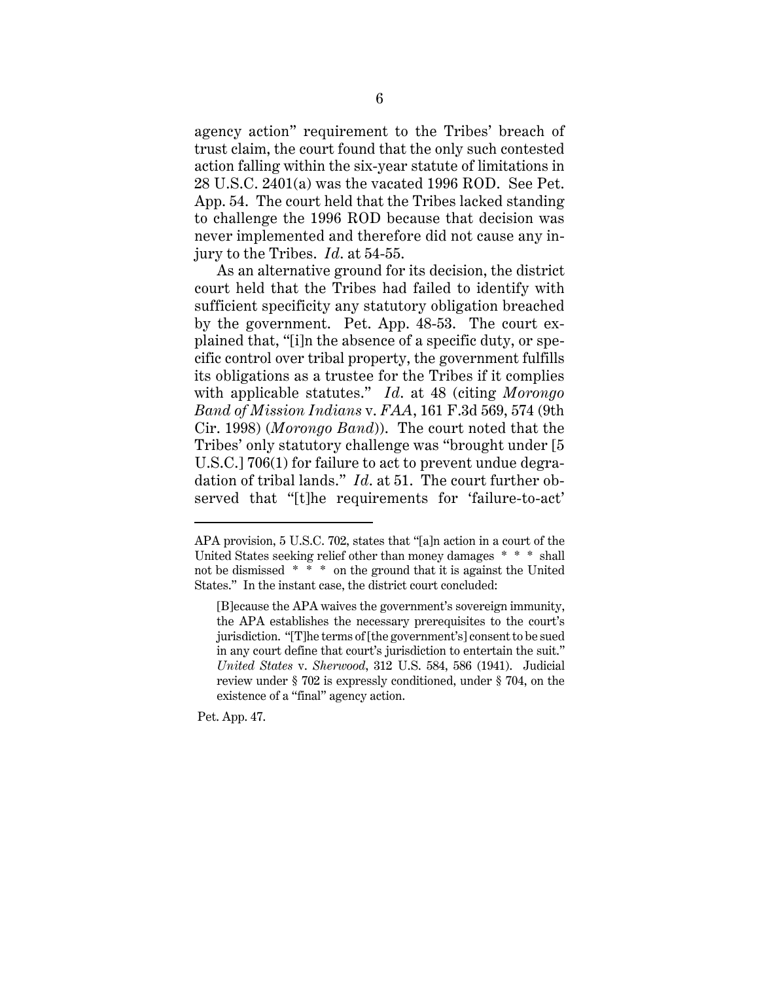agency action" requirement to the Tribes' breach of trust claim, the court found that the only such contested action falling within the six-year statute of limitations in 28 U.S.C. 2401(a) was the vacated 1996 ROD. See Pet. App. 54. The court held that the Tribes lacked standing to challenge the 1996 ROD because that decision was never implemented and therefore did not cause any injury to the Tribes. *Id*. at 54-55.

As an alternative ground for its decision, the district court held that the Tribes had failed to identify with sufficient specificity any statutory obligation breached by the government. Pet. App. 48-53. The court explained that, "[i]n the absence of a specific duty, or specific control over tribal property, the government fulfills its obligations as a trustee for the Tribes if it complies with applicable statutes." *Id*. at 48 (citing *Morongo Band of Mission Indians* v. *FAA*, 161 F.3d 569, 574 (9th Cir. 1998) (*Morongo Band*)). The court noted that the Tribes' only statutory challenge was "brought under [5 U.S.C.] 706(1) for failure to act to prevent undue degradation of tribal lands." *Id*. at 51. The court further observed that "[t]he requirements for 'failure-to-act'

Pet. App. 47.

APA provision, 5 U.S.C. 702, states that "[a]n action in a court of the United States seeking relief other than money damages \* \* \* shall not be dismissed \* \* \* on the ground that it is against the United States." In the instant case, the district court concluded:

<sup>[</sup>B]ecause the APA waives the government's sovereign immunity, the APA establishes the necessary prerequisites to the court's jurisdiction. "[T]he terms of [the government's] consent to be sued in any court define that court's jurisdiction to entertain the suit." *United States* v. *Sherwood*, 312 U.S. 584, 586 (1941). Judicial review under § 702 is expressly conditioned, under § 704, on the existence of a "final" agency action.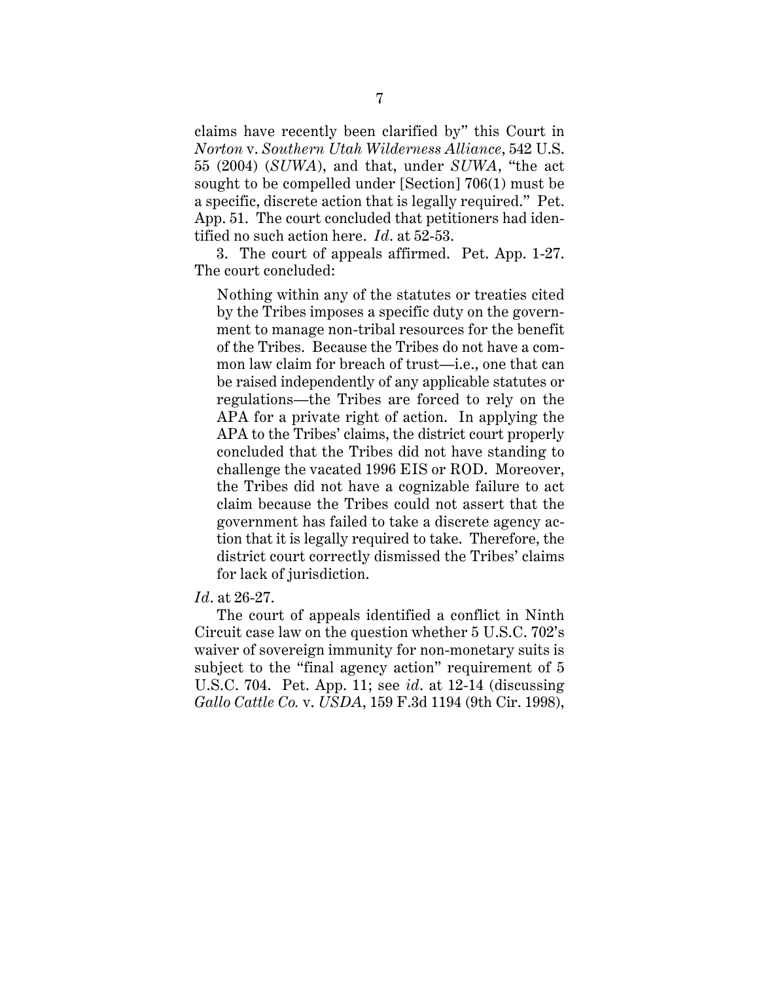claims have recently been clarified by" this Court in *Norton* v. *Southern Utah Wilderness Alliance*, 542 U.S. 55 (2004) (*SUWA*), and that, under *SUWA*, "the act sought to be compelled under [Section] 706(1) must be a specific, discrete action that is legally required." Pet. App. 51. The court concluded that petitioners had identified no such action here. *Id*. at 52-53.

3. The court of appeals affirmed. Pet. App. 1-27. The court concluded:

Nothing within any of the statutes or treaties cited by the Tribes imposes a specific duty on the government to manage non-tribal resources for the benefit of the Tribes. Because the Tribes do not have a common law claim for breach of trust—i.e., one that can be raised independently of any applicable statutes or regulations—the Tribes are forced to rely on the APA for a private right of action. In applying the APA to the Tribes' claims, the district court properly concluded that the Tribes did not have standing to challenge the vacated 1996 EIS or ROD. Moreover, the Tribes did not have a cognizable failure to act claim because the Tribes could not assert that the government has failed to take a discrete agency action that it is legally required to take. Therefore, the district court correctly dismissed the Tribes' claims for lack of jurisdiction.

#### *Id*. at 26-27.

The court of appeals identified a conflict in Ninth Circuit case law on the question whether 5 U.S.C. 702's waiver of sovereign immunity for non-monetary suits is subject to the "final agency action" requirement of 5 U.S.C. 704. Pet. App. 11; see *id*. at 12-14 (discussing *Gallo Cattle Co.* v. *USDA*, 159 F.3d 1194 (9th Cir. 1998),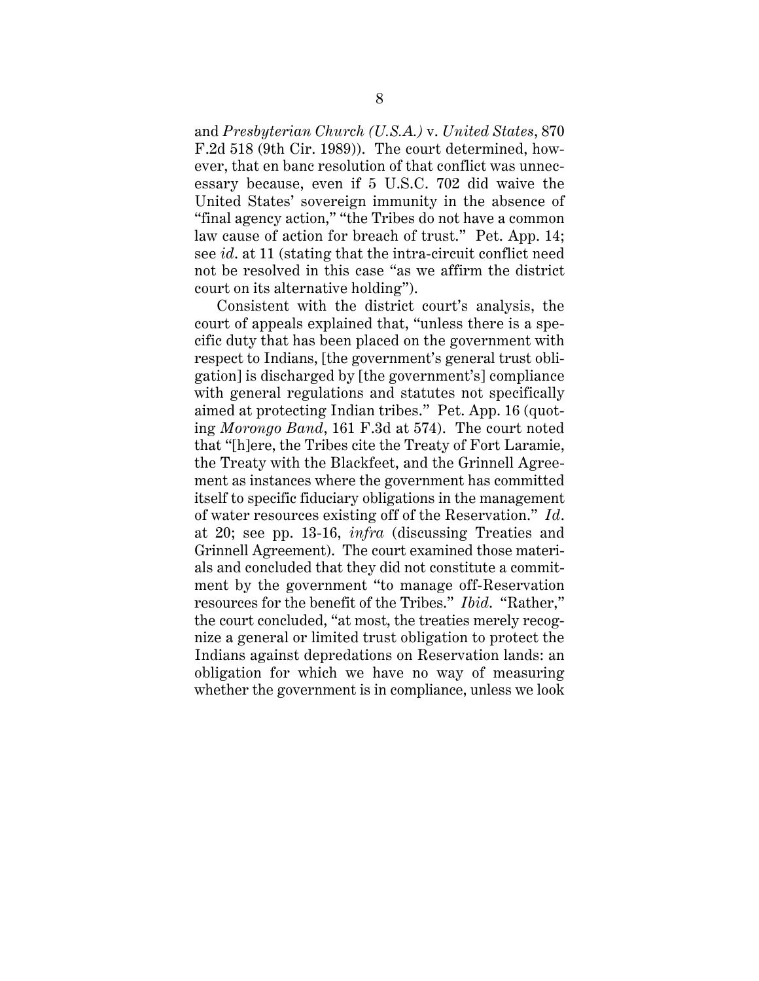and *Presbyterian Church (U.S.A.)* v. *United States*, 870 F.2d 518 (9th Cir. 1989)). The court determined, however, that en banc resolution of that conflict was unnecessary because, even if 5 U.S.C. 702 did waive the United States' sovereign immunity in the absence of "final agency action," "the Tribes do not have a common law cause of action for breach of trust." Pet. App. 14; see *id*. at 11 (stating that the intra-circuit conflict need not be resolved in this case "as we affirm the district court on its alternative holding").

Consistent with the district court's analysis, the court of appeals explained that, "unless there is a specific duty that has been placed on the government with respect to Indians, [the government's general trust obligation] is discharged by [the government's] compliance with general regulations and statutes not specifically aimed at protecting Indian tribes." Pet. App. 16 (quoting *Morongo Band*, 161 F.3d at 574). The court noted that "[h]ere, the Tribes cite the Treaty of Fort Laramie, the Treaty with the Blackfeet, and the Grinnell Agreement as instances where the government has committed itself to specific fiduciary obligations in the management of water resources existing off of the Reservation." *Id*. at 20; see pp. 13-16, *infra* (discussing Treaties and Grinnell Agreement). The court examined those materials and concluded that they did not constitute a commitment by the government "to manage off-Reservation resources for the benefit of the Tribes." *Ibid*. "Rather," the court concluded, "at most, the treaties merely recognize a general or limited trust obligation to protect the Indians against depredations on Reservation lands: an obligation for which we have no way of measuring whether the government is in compliance, unless we look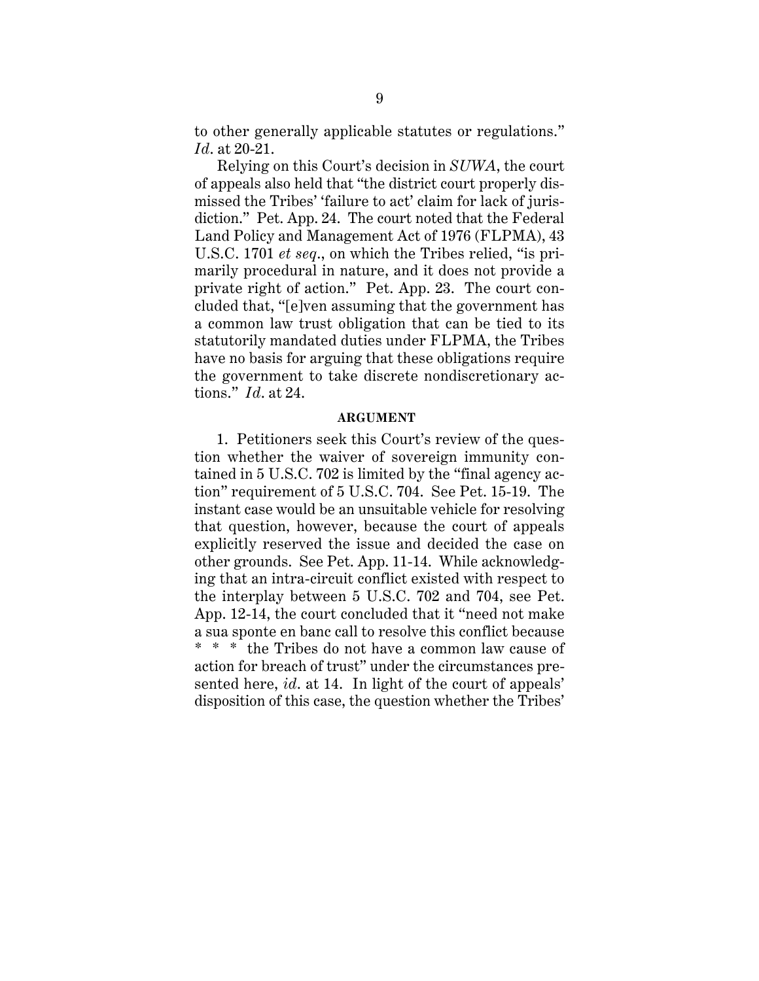to other generally applicable statutes or regulations." *Id*. at 20-21.

Relying on this Court's decision in *SUWA*, the court of appeals also held that "the district court properly dismissed the Tribes' 'failure to act' claim for lack of jurisdiction." Pet. App. 24. The court noted that the Federal Land Policy and Management Act of 1976 (FLPMA), 43 U.S.C. 1701 *et seq*., on which the Tribes relied, "is primarily procedural in nature, and it does not provide a private right of action." Pet. App. 23. The court concluded that, "[e]ven assuming that the government has a common law trust obligation that can be tied to its statutorily mandated duties under FLPMA, the Tribes have no basis for arguing that these obligations require the government to take discrete nondiscretionary actions." *Id*. at 24.

#### **ARGUMENT**

1. Petitioners seek this Court's review of the question whether the waiver of sovereign immunity contained in 5 U.S.C. 702 is limited by the "final agency action" requirement of 5 U.S.C. 704. See Pet. 15-19. The instant case would be an unsuitable vehicle for resolving that question, however, because the court of appeals explicitly reserved the issue and decided the case on other grounds. See Pet. App. 11-14. While acknowledging that an intra-circuit conflict existed with respect to the interplay between 5 U.S.C. 702 and 704, see Pet. App. 12-14, the court concluded that it "need not make a sua sponte en banc call to resolve this conflict because \* \* \* the Tribes do not have a common law cause of action for breach of trust" under the circumstances presented here, *id*. at 14. In light of the court of appeals' disposition of this case, the question whether the Tribes'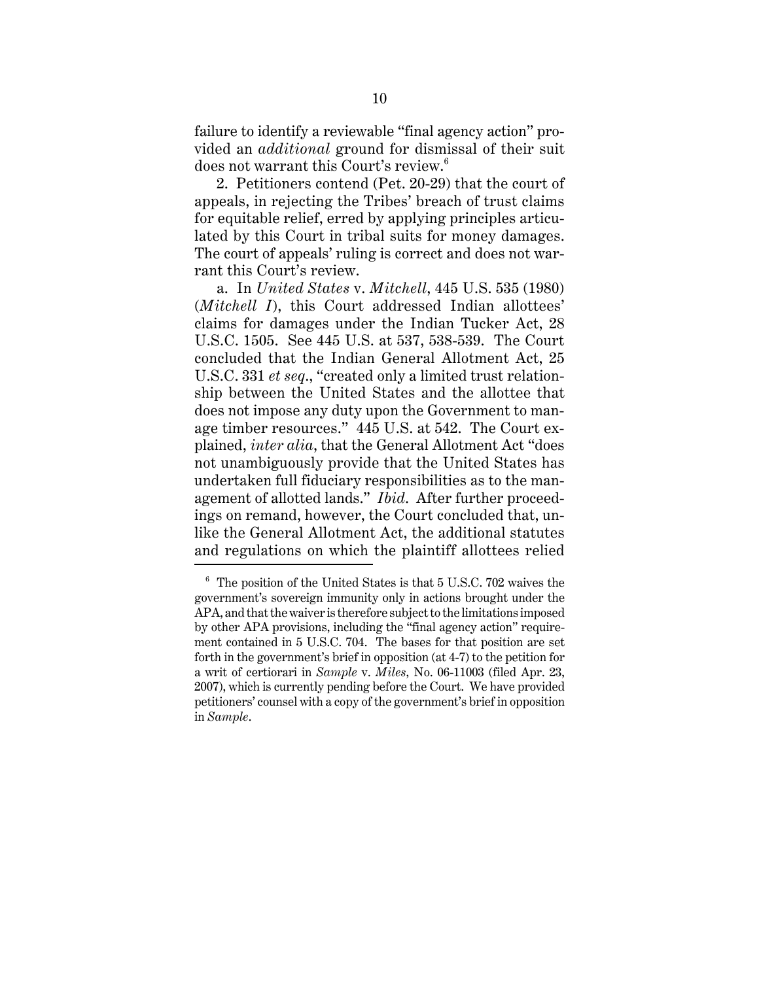failure to identify a reviewable "final agency action" provided an *additional* ground for dismissal of their suit does not warrant this Court's review.<sup>6</sup>

2. Petitioners contend (Pet. 20-29) that the court of appeals, in rejecting the Tribes' breach of trust claims for equitable relief, erred by applying principles articulated by this Court in tribal suits for money damages. The court of appeals' ruling is correct and does not warrant this Court's review.

a. In *United States* v. *Mitchell*, 445 U.S. 535 (1980) (*Mitchell I*), this Court addressed Indian allottees' claims for damages under the Indian Tucker Act, 28 U.S.C. 1505. See 445 U.S. at 537, 538-539. The Court concluded that the Indian General Allotment Act, 25 U.S.C. 331 *et seq*., "created only a limited trust relationship between the United States and the allottee that does not impose any duty upon the Government to manage timber resources." 445 U.S. at 542. The Court explained, *inter alia*, that the General Allotment Act "does not unambiguously provide that the United States has undertaken full fiduciary responsibilities as to the management of allotted lands." *Ibid*. After further proceedings on remand, however, the Court concluded that, unlike the General Allotment Act, the additional statutes and regulations on which the plaintiff allottees relied

 $^6\,$  The position of the United States is that 5 U.S.C. 702 waives the government's sovereign immunity only in actions brought under the APA, and that the waiver is therefore subject to the limitations imposed by other APA provisions, including the "final agency action" requirement contained in 5 U.S.C. 704. The bases for that position are set forth in the government's brief in opposition (at 4-7) to the petition for a writ of certiorari in *Sample* v. *Miles*, No. 06-11003 (filed Apr. 23, 2007), which is currently pending before the Court. We have provided petitioners' counsel with a copy of the government's brief in opposition in *Sample*.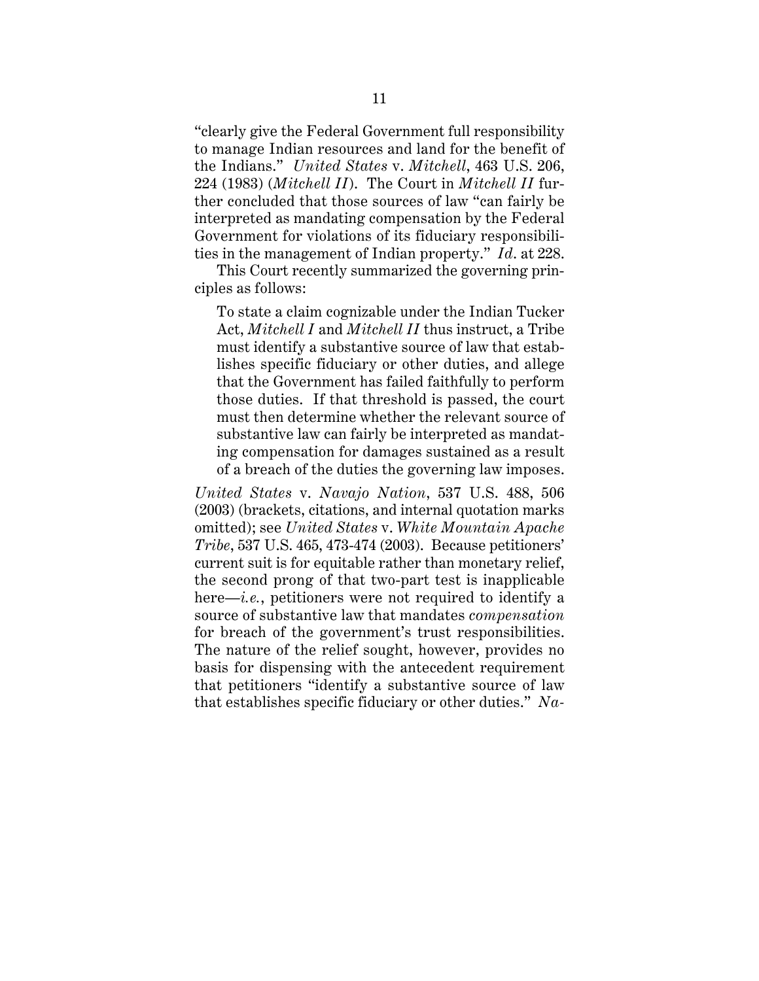"clearly give the Federal Government full responsibility to manage Indian resources and land for the benefit of the Indians." *United States* v. *Mitchell*, 463 U.S. 206, 224 (1983) (*Mitchell II*). The Court in *Mitchell II* further concluded that those sources of law "can fairly be interpreted as mandating compensation by the Federal Government for violations of its fiduciary responsibilities in the management of Indian property." *Id*. at 228.

This Court recently summarized the governing principles as follows:

To state a claim cognizable under the Indian Tucker Act, *Mitchell I* and *Mitchell II* thus instruct, a Tribe must identify a substantive source of law that establishes specific fiduciary or other duties, and allege that the Government has failed faithfully to perform those duties. If that threshold is passed, the court must then determine whether the relevant source of substantive law can fairly be interpreted as mandating compensation for damages sustained as a result of a breach of the duties the governing law imposes.

*United States* v. *Navajo Nation*, 537 U.S. 488, 506 (2003) (brackets, citations, and internal quotation marks omitted); see *United States* v. *White Mountain Apache Tribe*, 537 U.S. 465, 473-474 (2003). Because petitioners' current suit is for equitable rather than monetary relief, the second prong of that two-part test is inapplicable here—*i.e.*, petitioners were not required to identify a source of substantive law that mandates *compensation* for breach of the government's trust responsibilities. The nature of the relief sought, however, provides no basis for dispensing with the antecedent requirement that petitioners "identify a substantive source of law that establishes specific fiduciary or other duties." *Na-*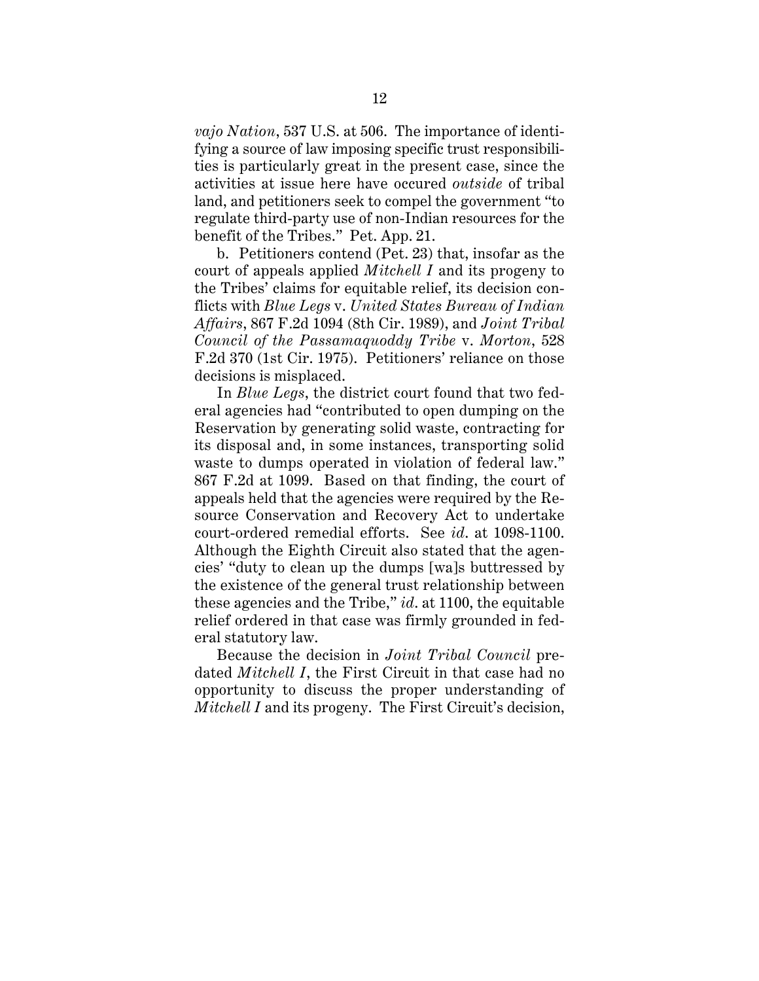*vajo Nation*, 537 U.S. at 506. The importance of identifying a source of law imposing specific trust responsibilities is particularly great in the present case, since the activities at issue here have occured *outside* of tribal land, and petitioners seek to compel the government "to regulate third-party use of non-Indian resources for the benefit of the Tribes." Pet. App. 21.

b. Petitioners contend (Pet. 23) that, insofar as the court of appeals applied *Mitchell I* and its progeny to the Tribes' claims for equitable relief, its decision conflicts with *Blue Legs* v. *United States Bureau of Indian Affairs*, 867 F.2d 1094 (8th Cir. 1989), and *Joint Tribal Council of the Passamaquoddy Tribe* v. *Morton*, 528 F.2d 370 (1st Cir. 1975). Petitioners' reliance on those decisions is misplaced.

In *Blue Legs*, the district court found that two federal agencies had "contributed to open dumping on the Reservation by generating solid waste, contracting for its disposal and, in some instances, transporting solid waste to dumps operated in violation of federal law." 867 F.2d at 1099. Based on that finding, the court of appeals held that the agencies were required by the Resource Conservation and Recovery Act to undertake court-ordered remedial efforts. See *id*. at 1098-1100. Although the Eighth Circuit also stated that the agencies' "duty to clean up the dumps [wa]s buttressed by the existence of the general trust relationship between these agencies and the Tribe," *id*. at 1100, the equitable relief ordered in that case was firmly grounded in federal statutory law.

Because the decision in *Joint Tribal Council* predated *Mitchell I*, the First Circuit in that case had no opportunity to discuss the proper understanding of *Mitchell I* and its progeny. The First Circuit's decision,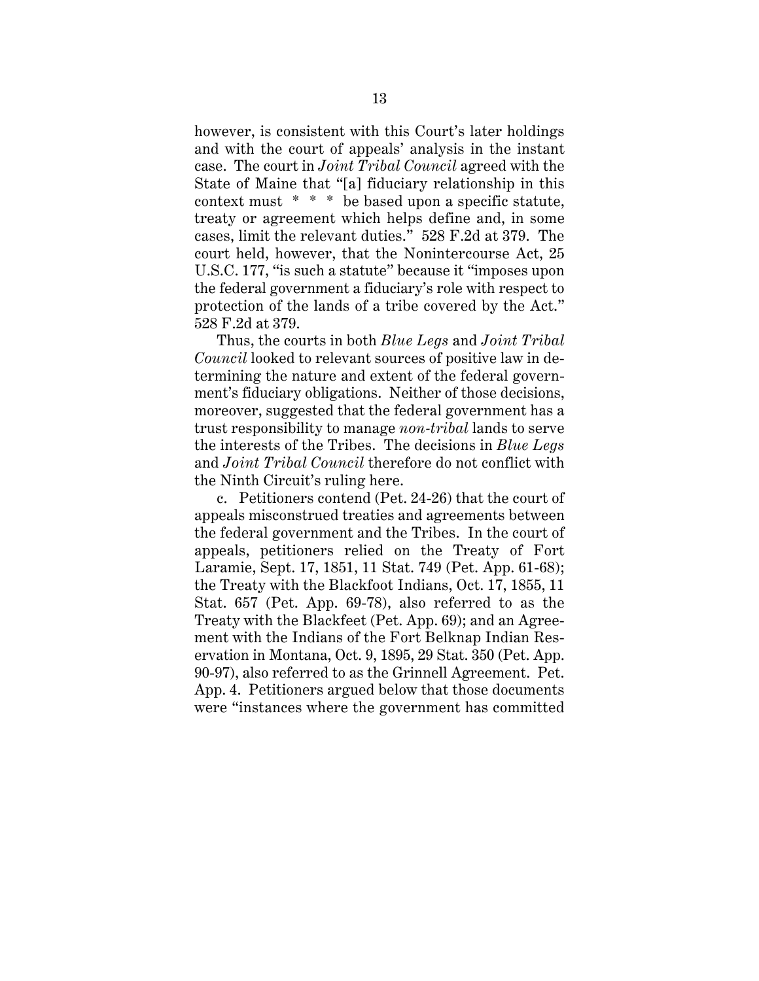however, is consistent with this Court's later holdings and with the court of appeals' analysis in the instant case. The court in *Joint Tribal Council* agreed with the State of Maine that "[a] fiduciary relationship in this context must \* \* \* be based upon a specific statute, treaty or agreement which helps define and, in some cases, limit the relevant duties." 528 F.2d at 379. The court held, however, that the Nonintercourse Act, 25 U.S.C. 177, "is such a statute" because it "imposes upon the federal government a fiduciary's role with respect to protection of the lands of a tribe covered by the Act." 528 F.2d at 379.

Thus, the courts in both *Blue Legs* and *Joint Tribal Council* looked to relevant sources of positive law in determining the nature and extent of the federal government's fiduciary obligations. Neither of those decisions, moreover, suggested that the federal government has a trust responsibility to manage *non-tribal* lands to serve the interests of the Tribes. The decisions in *Blue Legs* and *Joint Tribal Council* therefore do not conflict with the Ninth Circuit's ruling here.

c. Petitioners contend (Pet. 24-26) that the court of appeals misconstrued treaties and agreements between the federal government and the Tribes. In the court of appeals, petitioners relied on the Treaty of Fort Laramie, Sept. 17, 1851, 11 Stat. 749 (Pet. App. 61-68); the Treaty with the Blackfoot Indians, Oct. 17, 1855, 11 Stat. 657 (Pet. App. 69-78), also referred to as the Treaty with the Blackfeet (Pet. App. 69); and an Agreement with the Indians of the Fort Belknap Indian Reservation in Montana, Oct. 9, 1895, 29 Stat. 350 (Pet. App. 90-97), also referred to as the Grinnell Agreement. Pet. App. 4. Petitioners argued below that those documents were "instances where the government has committed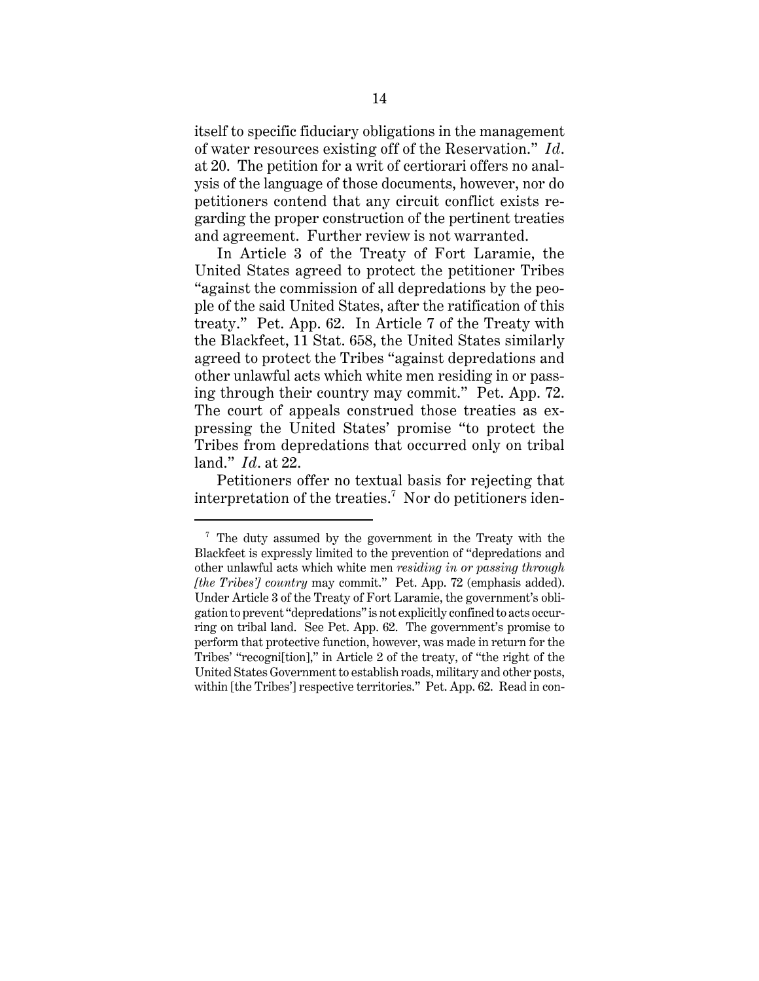itself to specific fiduciary obligations in the management of water resources existing off of the Reservation." *Id*. at 20. The petition for a writ of certiorari offers no analysis of the language of those documents, however, nor do petitioners contend that any circuit conflict exists regarding the proper construction of the pertinent treaties and agreement. Further review is not warranted.

In Article 3 of the Treaty of Fort Laramie, the United States agreed to protect the petitioner Tribes "against the commission of all depredations by the people of the said United States, after the ratification of this treaty." Pet. App. 62. In Article 7 of the Treaty with the Blackfeet, 11 Stat. 658, the United States similarly agreed to protect the Tribes "against depredations and other unlawful acts which white men residing in or passing through their country may commit." Pet. App. 72. The court of appeals construed those treaties as expressing the United States' promise "to protect the Tribes from depredations that occurred only on tribal land." *Id*. at 22.

Petitioners offer no textual basis for rejecting that interpretation of the treaties.<sup>7</sup> Nor do petitioners iden-

<sup>7</sup> The duty assumed by the government in the Treaty with the Blackfeet is expressly limited to the prevention of "depredations and other unlawful acts which white men *residing in or passing through [the Tribes'] country* may commit." Pet. App. 72 (emphasis added). Under Article 3 of the Treaty of Fort Laramie, the government's obligation to prevent "depredations" is not explicitly confined to acts occurring on tribal land. See Pet. App. 62. The government's promise to perform that protective function, however, was made in return for the Tribes' "recogni[tion]," in Article 2 of the treaty, of "the right of the United States Government to establish roads, military and other posts, within [the Tribes'] respective territories." Pet. App. 62. Read in con-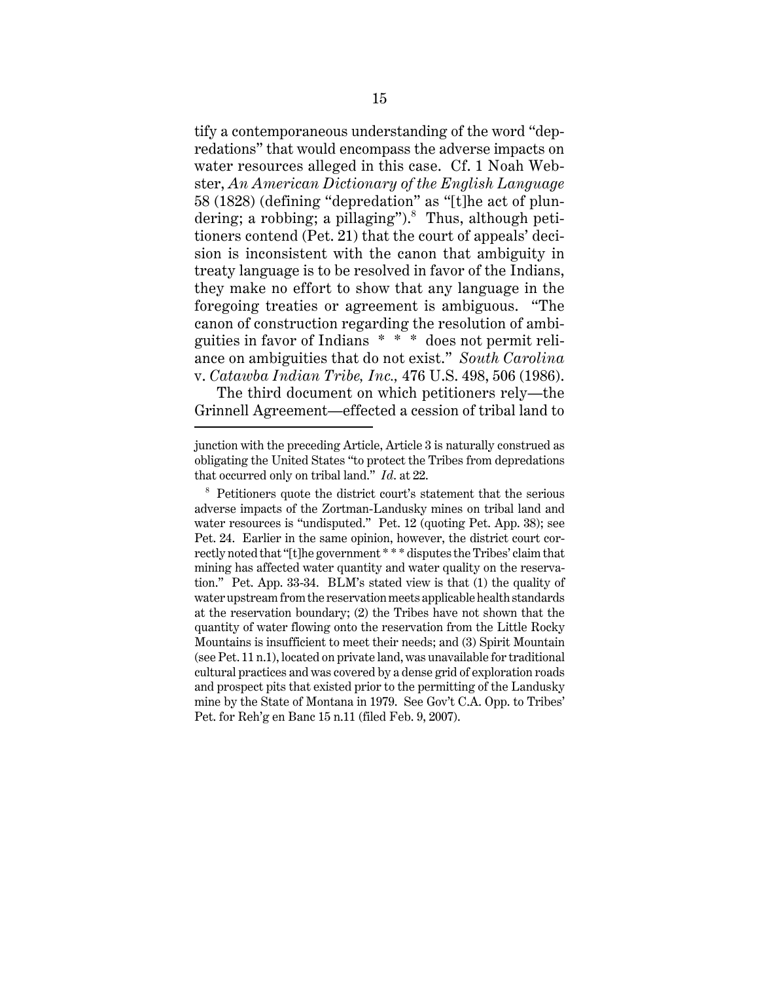tify a contemporaneous understanding of the word "depredations" that would encompass the adverse impacts on water resources alleged in this case. Cf. 1 Noah Webster, *An American Dictionary of the English Language* 58 (1828) (defining "depredation" as "[t]he act of plundering; a robbing; a pillaging").<sup>8</sup> Thus, although petitioners contend (Pet. 21) that the court of appeals' decision is inconsistent with the canon that ambiguity in treaty language is to be resolved in favor of the Indians, they make no effort to show that any language in the foregoing treaties or agreement is ambiguous. "The canon of construction regarding the resolution of ambiguities in favor of Indians \* \* \* does not permit reliance on ambiguities that do not exist." *South Carolina* v. *Catawba Indian Tribe, Inc.,* 476 U.S. 498, 506 (1986).

The third document on which petitioners rely—the Grinnell Agreement—effected a cession of tribal land to

junction with the preceding Article, Article 3 is naturally construed as obligating the United States "to protect the Tribes from depredations that occurred only on tribal land." *Id*. at 22.

<sup>&</sup>lt;sup>8</sup> Petitioners quote the district court's statement that the serious adverse impacts of the Zortman-Landusky mines on tribal land and water resources is "undisputed." Pet. 12 (quoting Pet. App. 38); see Pet. 24. Earlier in the same opinion, however, the district court correctly noted that "[t]he government \* \* \* disputes the Tribes' claim that mining has affected water quantity and water quality on the reservation." Pet. App. 33-34. BLM's stated view is that (1) the quality of water upstream from the reservation meets applicable health standards at the reservation boundary; (2) the Tribes have not shown that the quantity of water flowing onto the reservation from the Little Rocky Mountains is insufficient to meet their needs; and (3) Spirit Mountain (see Pet. 11 n.1), located on private land, was unavailable for traditional cultural practices and was covered by a dense grid of exploration roads and prospect pits that existed prior to the permitting of the Landusky mine by the State of Montana in 1979. See Gov't C.A. Opp. to Tribes' Pet. for Reh'g en Banc 15 n.11 (filed Feb. 9, 2007).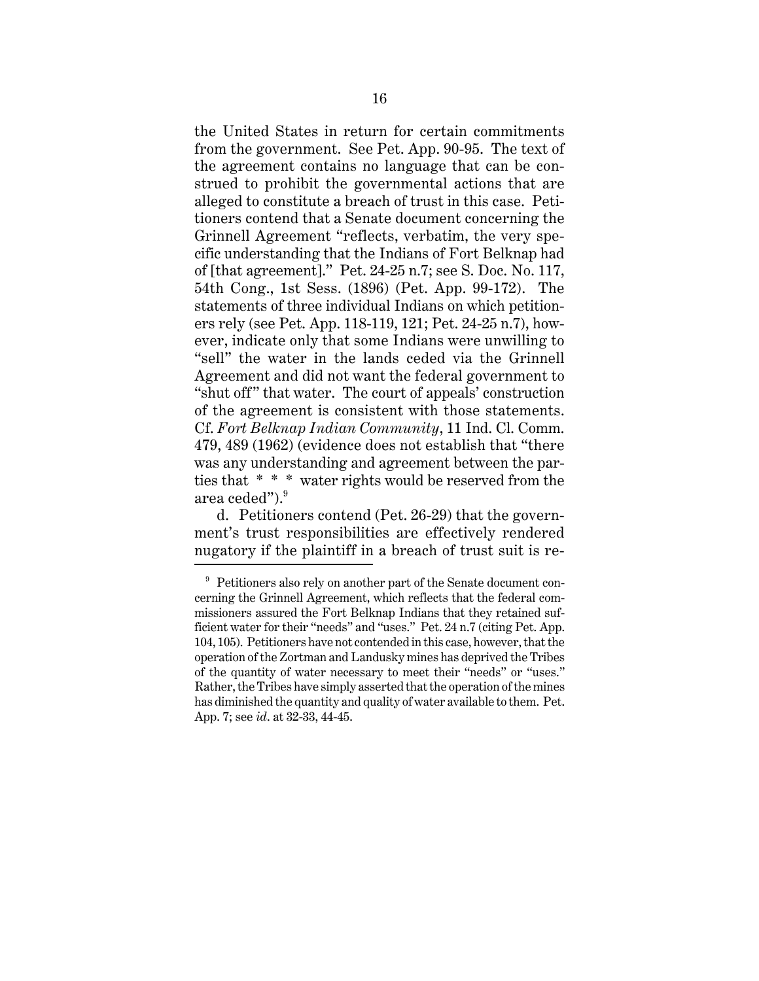the United States in return for certain commitments from the government. See Pet. App. 90-95. The text of the agreement contains no language that can be construed to prohibit the governmental actions that are alleged to constitute a breach of trust in this case. Petitioners contend that a Senate document concerning the Grinnell Agreement "reflects, verbatim, the very specific understanding that the Indians of Fort Belknap had of [that agreement]." Pet. 24-25 n.7; see S. Doc. No. 117, 54th Cong., 1st Sess. (1896) (Pet. App. 99-172). The statements of three individual Indians on which petitioners rely (see Pet. App. 118-119, 121; Pet. 24-25 n.7), however, indicate only that some Indians were unwilling to "sell" the water in the lands ceded via the Grinnell Agreement and did not want the federal government to "shut off" that water. The court of appeals' construction of the agreement is consistent with those statements. Cf. *Fort Belknap Indian Community*, 11 Ind. Cl. Comm. 479, 489 (1962) (evidence does not establish that "there was any understanding and agreement between the parties that \* \* \* water rights would be reserved from the area ceded").<sup>9</sup>

d. Petitioners contend (Pet. 26-29) that the government's trust responsibilities are effectively rendered nugatory if the plaintiff in a breach of trust suit is re-

<sup>&</sup>lt;sup>9</sup> Petitioners also rely on another part of the Senate document concerning the Grinnell Agreement, which reflects that the federal commissioners assured the Fort Belknap Indians that they retained sufficient water for their "needs" and "uses." Pet. 24 n.7 (citing Pet. App. 104, 105). Petitioners have not contended in this case, however, that the operation of the Zortman and Landusky mines has deprived the Tribes of the quantity of water necessary to meet their "needs" or "uses." Rather, the Tribes have simply asserted that the operation of the mines has diminished the quantity and quality of water available to them. Pet. App. 7; see *id*. at 32-33, 44-45.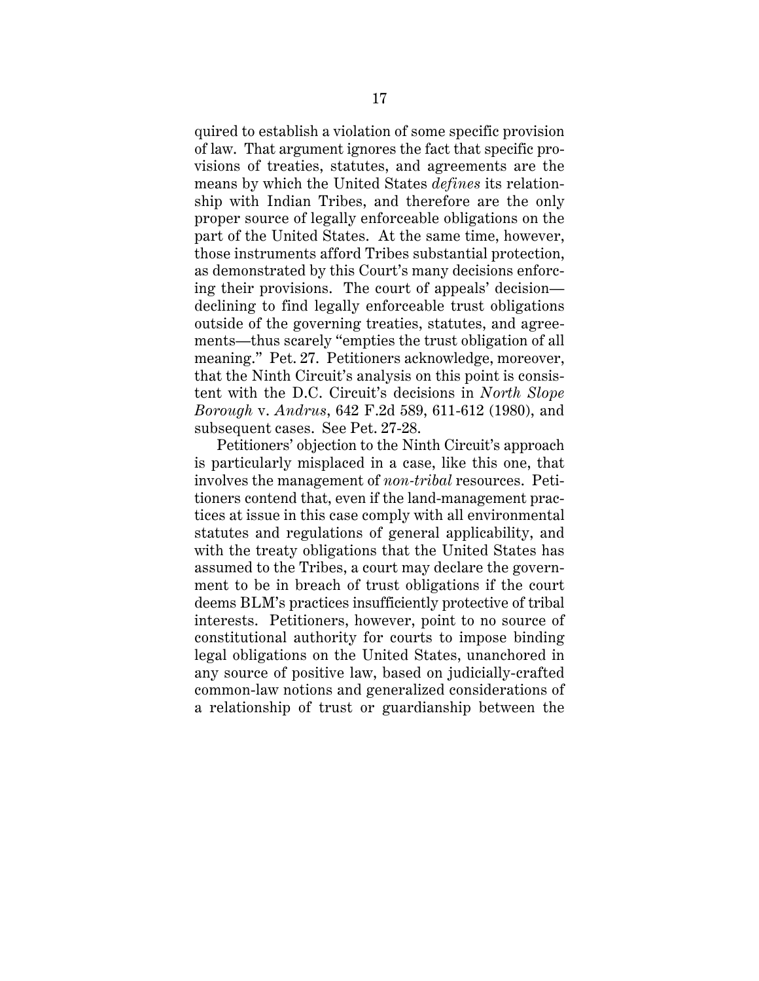quired to establish a violation of some specific provision of law. That argument ignores the fact that specific provisions of treaties, statutes, and agreements are the means by which the United States *defines* its relationship with Indian Tribes, and therefore are the only proper source of legally enforceable obligations on the part of the United States. At the same time, however, those instruments afford Tribes substantial protection, as demonstrated by this Court's many decisions enforcing their provisions. The court of appeals' decision declining to find legally enforceable trust obligations outside of the governing treaties, statutes, and agreements—thus scarely "empties the trust obligation of all meaning." Pet. 27. Petitioners acknowledge, moreover, that the Ninth Circuit's analysis on this point is consistent with the D.C. Circuit's decisions in *North Slope Borough* v. *Andrus*, 642 F.2d 589, 611-612 (1980), and subsequent cases. See Pet. 27-28.

Petitioners' objection to the Ninth Circuit's approach is particularly misplaced in a case, like this one, that involves the management of *non-tribal* resources. Petitioners contend that, even if the land-management practices at issue in this case comply with all environmental statutes and regulations of general applicability, and with the treaty obligations that the United States has assumed to the Tribes, a court may declare the government to be in breach of trust obligations if the court deems BLM's practices insufficiently protective of tribal interests. Petitioners, however, point to no source of constitutional authority for courts to impose binding legal obligations on the United States, unanchored in any source of positive law, based on judicially-crafted common-law notions and generalized considerations of a relationship of trust or guardianship between the